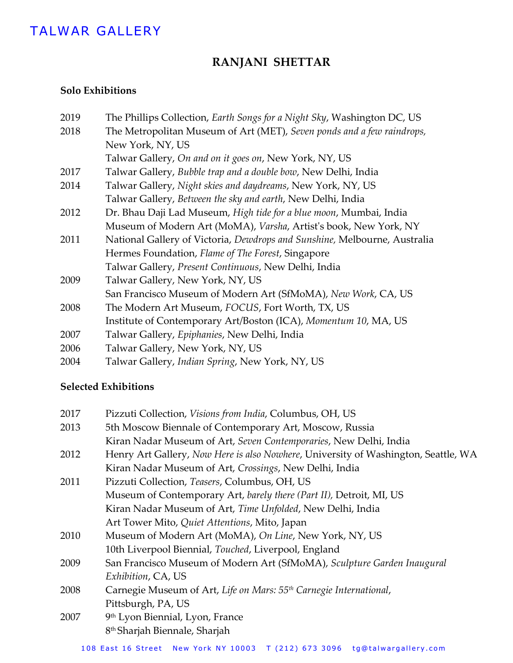# TALWAR GALLERY

# **RANJANI SHETTAR**

## **Solo Exhibitions**

| 2019 | The Phillips Collection, Earth Songs for a Night Sky, Washington DC, US   |
|------|---------------------------------------------------------------------------|
| 2018 | The Metropolitan Museum of Art (MET), Seven ponds and a few raindrops,    |
|      | New York, NY, US                                                          |
|      | Talwar Gallery, On and on it goes on, New York, NY, US                    |
| 2017 | Talwar Gallery, Bubble trap and a double bow, New Delhi, India            |
| 2014 | Talwar Gallery, Night skies and daydreams, New York, NY, US               |
|      | Talwar Gallery, Between the sky and earth, New Delhi, India               |
| 2012 | Dr. Bhau Daji Lad Museum, High tide for a blue moon, Mumbai, India        |
|      | Museum of Modern Art (MoMA), Varsha, Artist's book, New York, NY          |
| 2011 | National Gallery of Victoria, Dewdrops and Sunshine, Melbourne, Australia |
|      | Hermes Foundation, Flame of The Forest, Singapore                         |
|      | Talwar Gallery, Present Continuous, New Delhi, India                      |
| 2009 | Talwar Gallery, New York, NY, US                                          |
|      | San Francisco Museum of Modern Art (SfMoMA), New Work, CA, US             |
| 2008 | The Modern Art Museum, FOCUS, Fort Worth, TX, US                          |
|      | Institute of Contemporary Art/Boston (ICA), Momentum 10, MA, US           |
| 2007 | Talwar Gallery, Epiphanies, New Delhi, India                              |
| 2006 | Talwar Gallery, New York, NY, US                                          |
| 2004 | Talwar Gallery, Indian Spring, New York, NY, US                           |
|      |                                                                           |

## **Selected Exhibitions**

| 2017 | Pizzuti Collection, Visions from India, Columbus, OH, US                           |
|------|------------------------------------------------------------------------------------|
| 2013 | 5th Moscow Biennale of Contemporary Art, Moscow, Russia                            |
|      | Kiran Nadar Museum of Art, Seven Contemporaries, New Delhi, India                  |
| 2012 | Henry Art Gallery, Now Here is also Nowhere, University of Washington, Seattle, WA |
|      | Kiran Nadar Museum of Art, Crossings, New Delhi, India                             |
| 2011 | Pizzuti Collection, Teasers, Columbus, OH, US                                      |
|      | Museum of Contemporary Art, barely there (Part II), Detroit, MI, US                |
|      | Kiran Nadar Museum of Art, Time Unfolded, New Delhi, India                         |
|      | Art Tower Mito, Quiet Attentions, Mito, Japan                                      |
| 2010 | Museum of Modern Art (MoMA), On Line, New York, NY, US                             |
|      | 10th Liverpool Biennial, Touched, Liverpool, England                               |
| 2009 | San Francisco Museum of Modern Art (SfMoMA), Sculpture Garden Inaugural            |
|      | Exhibition, CA, US                                                                 |
| 2008 | Carnegie Museum of Art, Life on Mars: 55 <sup>th</sup> Carnegie International,     |
|      | Pittsburgh, PA, US                                                                 |
| 2007 | 9 <sup>th</sup> Lyon Biennial, Lyon, France                                        |
|      | 8 <sup>th</sup> Sharjah Biennale, Sharjah                                          |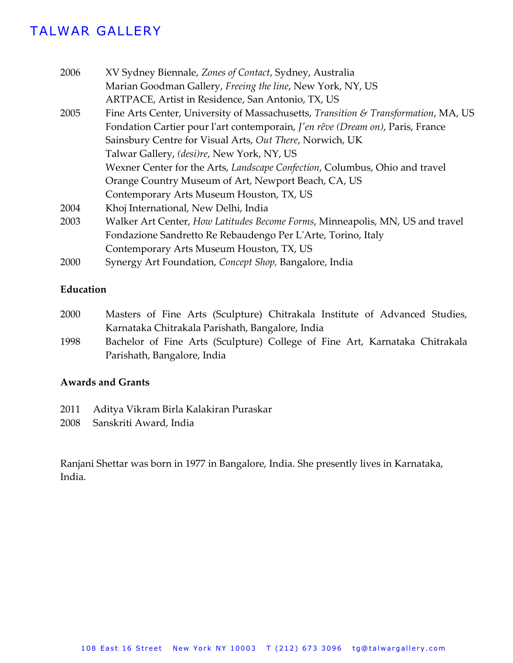## TALWAR GALLERY

| 2006 | XV Sydney Biennale, Zones of Contact, Sydney, Australia                            |
|------|------------------------------------------------------------------------------------|
|      | Marian Goodman Gallery, Freeing the line, New York, NY, US                         |
|      | ARTPACE, Artist in Residence, San Antonio, TX, US                                  |
| 2005 | Fine Arts Center, University of Massachusetts, Transition & Transformation, MA, US |
|      | Fondation Cartier pour l'art contemporain, J'en rêve (Dream on), Paris, France     |
|      | Sainsbury Centre for Visual Arts, Out There, Norwich, UK                           |
|      | Talwar Gallery, (desi)re, New York, NY, US                                         |
|      | Wexner Center for the Arts, Landscape Confection, Columbus, Ohio and travel        |
|      | Orange Country Museum of Art, Newport Beach, CA, US                                |
|      | Contemporary Arts Museum Houston, TX, US                                           |
| 2004 | Khoj International, New Delhi, India                                               |
| 2003 | Walker Art Center, How Latitudes Become Forms, Minneapolis, MN, US and travel      |
|      | Fondazione Sandretto Re Rebaudengo Per L'Arte, Torino, Italy                       |
|      | Contemporary Arts Museum Houston, TX, US                                           |
| 2000 | Synergy Art Foundation, Concept Shop, Bangalore, India                             |
|      |                                                                                    |

### **Education**

- 2000 Masters of Fine Arts (Sculpture) Chitrakala Institute of Advanced Studies, Karnataka Chitrakala Parishath, Bangalore, India
- 1998 Bachelor of Fine Arts (Sculpture) College of Fine Art, Karnataka Chitrakala Parishath, Bangalore, India

### **Awards and Grants**

- 2011 Aditya Vikram Birla Kalakiran Puraskar
- 2008 Sanskriti Award, India

Ranjani Shettar was born in 1977 in Bangalore, India. She presently lives in Karnataka, India.